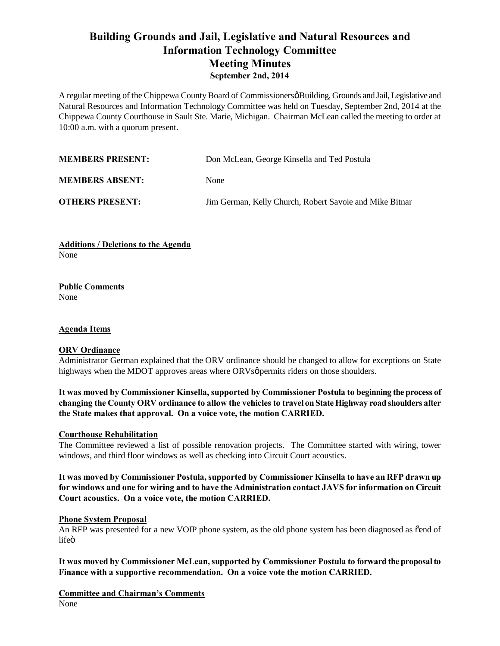# **Building Grounds and Jail, Legislative and Natural Resources and Information Technology Committee Meeting Minutes September 2nd, 2014**

A regular meeting of the Chippewa County Board of Commissioners & Building, Grounds and Jail, Legislative and Natural Resources and Information Technology Committee was held on Tuesday, September 2nd, 2014 at the Chippewa County Courthouse in Sault Ste. Marie, Michigan. Chairman McLean called the meeting to order at 10:00 a.m. with a quorum present.

| <b>MEMBERS PRESENT:</b> | Don McLean, George Kinsella and Ted Postula             |
|-------------------------|---------------------------------------------------------|
| <b>MEMBERS ABSENT:</b>  | None                                                    |
| <b>OTHERS PRESENT:</b>  | Jim German, Kelly Church, Robert Savoie and Mike Bitnar |

**Additions / Deletions to the Agenda** None

**Public Comments** None

# **Agenda Items**

## **ORV Ordinance**

Administrator German explained that the ORV ordinance should be changed to allow for exceptions on State highways when the MDOT approves areas where ORVsø permits riders on those shoulders.

**It was moved by Commissioner Kinsella, supported by Commissioner Postula to beginning the process of changing the County ORV ordinance to allow the vehicles to travel on State Highway road shoulders after the State makes that approval. On a voice vote, the motion CARRIED.**

## **Courthouse Rehabilitation**

The Committee reviewed a list of possible renovation projects. The Committee started with wiring, tower windows, and third floor windows as well as checking into Circuit Court acoustics.

**It was moved by Commissioner Postula, supported by Commissioner Kinsella to have an RFP drawn up for windows and one for wiring and to have the Administration contact JAVS for information on Circuit Court acoustics. On a voice vote, the motion CARRIED.**

## **Phone System Proposal**

An RFP was presented for a new VOIP phone system, as the old phone system has been diagnosed as  $\delta$ end of lifeö

**It was moved by Commissioner McLean, supported by Commissioner Postula to forward the proposal to Finance with a supportive recommendation. On a voice vote the motion CARRIED.**

**Committee and Chairman's Comments** None